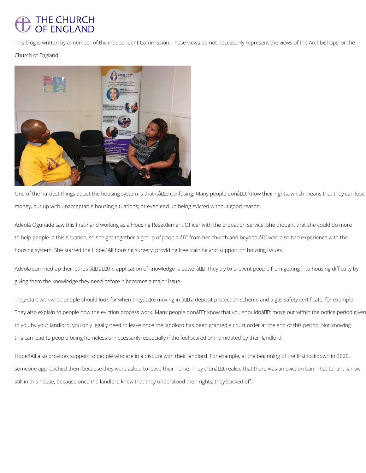## THE CHURCH<br>OF ENGLAND

This blog is written by a member of the independent Commission. These views do not necessarily represent the views of the Archbishops' or the

Church of England.



One of the hardest things about the housing system is that itâll that in the sing people donâl their know their rights, which means that they can lose money, put up with unacceptable housing situations, or even end up being evicted without good reason.

Adeola summed up their ethos â DD â DD the application of knowledge is powerâ DD. They try to prevent people from getting into housing difficulty by giving them the knowledge they need before it becomes a major issue.

Adeola Ogunade saw this first-hand working as a Housing Resettlement Officer with the probation service. She thought that she could do more to help people in this situation, so she got together a group of people ând from her church and beyond ând who also had experience with the housing system. She started the Hope4All housing surgery, providing free training and support on housing issues.

They start with what people should look for when theyâll lire moving in â ll a deposit protection scheme and a gas safety certificate, for example. They also explain to people how the eviction process work. Many people donâuut know that you shouldnâuut move out within the notice period given to you by your landlord; you only legally need to leave once the landlord has been granted a court order at the end of this period. Not knowing this can lead to people being homeless unnecessarily, especially if the feel scared or intimidated by their landlord.

Hope4All also provides support to people who are in a dispute with their landlord. For example, at the beginning of the first lockdown in 2020,

someone approached them because they were asked to leave their home. They didnâl Lt realise that there was an eviction ban. That tenant is now

still in this house, because once the landlord knew that they understood their rights, they backed off.